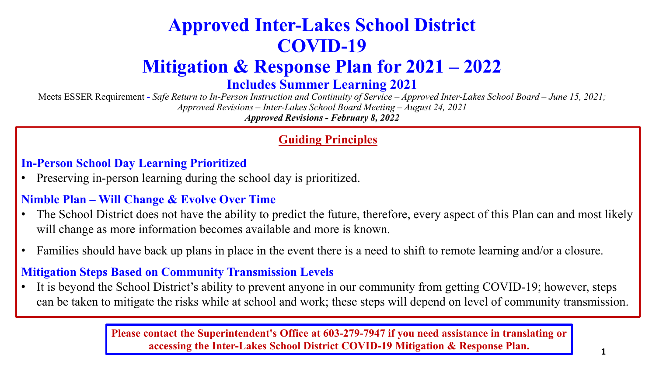### **Approved Inter-Lakes School District COVID-19**

### **Mitigation & Response Plan for 2021 – 2022**

**Includes Summer Learning 2021**

Meets ESSER Requirement **-** *Safe Return to In-Person Instruction and Continuity of Service – Approved Inter-Lakes School Board – June 15, 2021; Approved Revisions – Inter-Lakes School Board Meeting – August 24, 2021 Approved Revisions - February 8, 2022*

#### **Guiding Principles**

**In-Person School Day Learning Prioritized**

• Preserving in-person learning during the school day is prioritized.

#### **Nimble Plan – Will Change & Evolve Over Time**

- The School District does not have the ability to predict the future, therefore, every aspect of this Plan can and most likely will change as more information becomes available and more is known.
- Families should have back up plans in place in the event there is a need to shift to remote learning and/or a closure.

#### **Mitigation Steps Based on Community Transmission Levels**

It is beyond the School District's ability to prevent anyone in our community from getting COVID-19; however, steps can be taken to mitigate the risks while at school and work; these steps will depend on level of community transmission.

> **Please contact the Superintendent's Office at 603-279-7947 if you need assistance in translating or accessing the Inter-Lakes School District COVID-19 Mitigation & Response Plan.**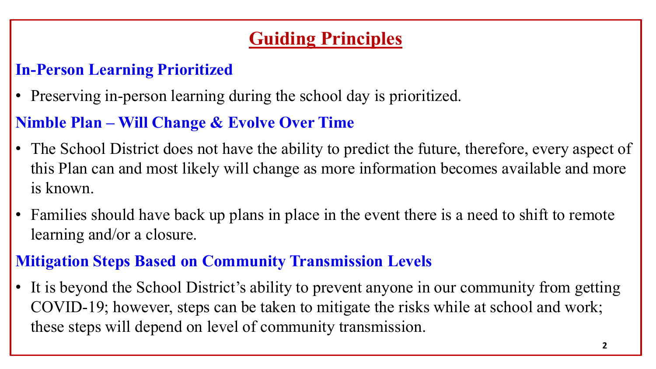### **Guiding Principles**

### **In-Person Learning Prioritized**

• Preserving in-person learning during the school day is prioritized.

### **Nimble Plan – Will Change & Evolve Over Time**

- The School District does not have the ability to predict the future, therefore, every aspect of this Plan can and most likely will change as more information becomes available and more is known.
- Families should have back up plans in place in the event there is a need to shift to remote learning and/or a closure.

### **Mitigation Steps Based on Community Transmission Levels**

• It is beyond the School District's ability to prevent anyone in our community from getting COVID-19; however, steps can be taken to mitigate the risks while at school and work; these steps will depend on level of community transmission.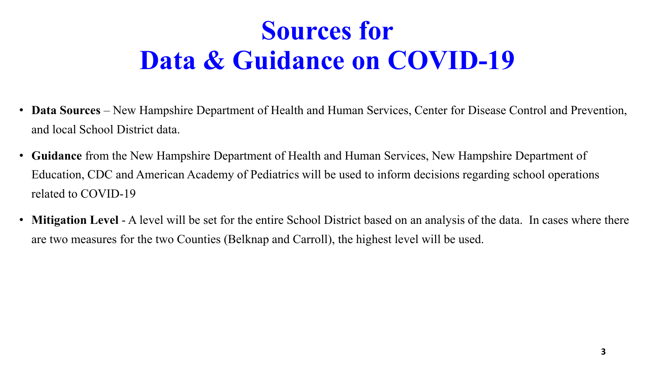## **Sources for Data & Guidance on COVID-19**

- **Data Sources**  New Hampshire Department of Health and Human Services, Center for Disease Control and Prevention, and local School District data.
- **Guidance** from the New Hampshire Department of Health and Human Services, New Hampshire Department of Education, CDC and American Academy of Pediatrics will be used to inform decisions regarding school operations related to COVID-19
- **Mitigation Level** A level will be set for the entire School District based on an analysis of the data. In cases where there are two measures for the two Counties (Belknap and Carroll), the highest level will be used.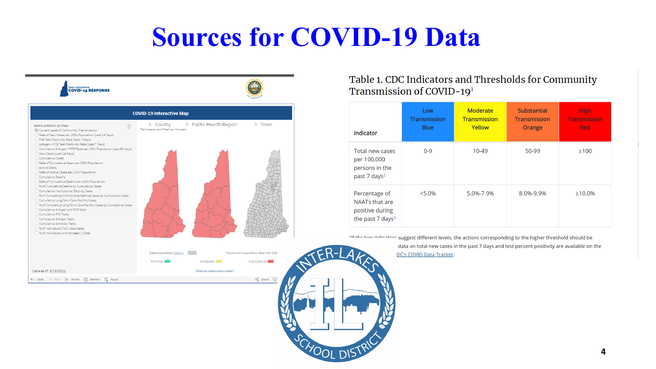## **Sources for COVID-19 Data**



#### Table 1. CDC Indicators and Thresholds for Community Transmission of COVID-19<sup>1</sup>

| Indicator                                                                          | Low<br><b>Transmission</b><br><b>Blue</b> | Moderate<br><b>Transmission</b><br>Yellow | <b>Substantial</b><br><b>Transmission</b><br>Orange | <b>High</b><br><b>Transmission</b><br><b>Red</b> |
|------------------------------------------------------------------------------------|-------------------------------------------|-------------------------------------------|-----------------------------------------------------|--------------------------------------------------|
| Total new cases<br>per 100,000<br>persons in the<br>past 7 days <sup>2</sup>       | $0 - 9$                                   | 10-49                                     | 50-99                                               | $\geq 100$                                       |
| Percentage of<br>NAATs that are<br>positive during<br>the past 7 days <sup>3</sup> | $< 5.0\%$                                 | 5.0%-7.9%                                 | 8.0%-9.9%                                           | $\geq 10.0\%$                                    |

11f the two indicators suggest different levels, the actions corresponding to the higher threshold should be data on total new cases in the past 7 days and test percent positivity are available on the DC's COVID Data Tracker.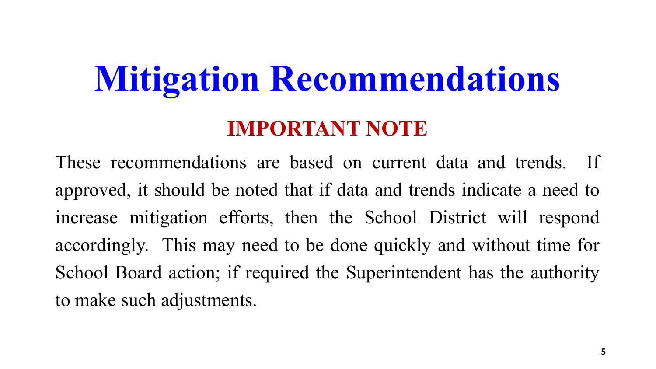# **Mitigation Recommendations IMPORTANT NOTE**

These recommendations are based on current data and trends. If approved, it should be noted that if data and trends indicate a need to increase mitigation efforts, then the School District will respond accordingly. This may need to be done quickly and without time for School Board action; if required the Superintendent has the authority to make such adjustments.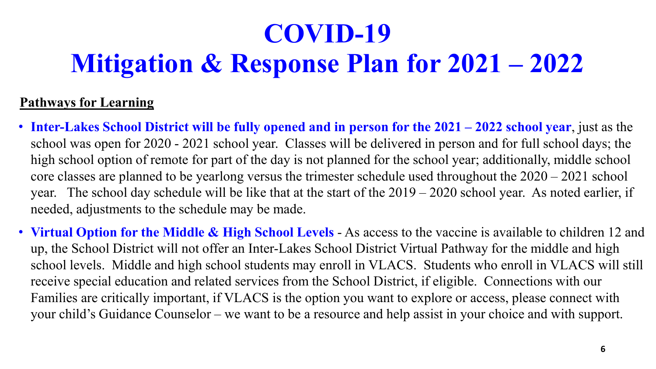### **Pathways for Learning**

- **Inter-Lakes School District will be fully opened and in person for the 2021 – 2022 school year**, just as the school was open for 2020 - 2021 school year. Classes will be delivered in person and for full school days; the high school option of remote for part of the day is not planned for the school year; additionally, middle school core classes are planned to be yearlong versus the trimester schedule used throughout the 2020 – 2021 school year. The school day schedule will be like that at the start of the 2019 – 2020 school year. As noted earlier, if needed, adjustments to the schedule may be made.
- **Virtual Option for the Middle & High School Levels**  As access to the vaccine is available to children 12 and up, the School District will not offer an Inter-Lakes School District Virtual Pathway for the middle and high school levels. Middle and high school students may enroll in VLACS. Students who enroll in VLACS will still receive special education and related services from the School District, if eligible. Connections with our Families are critically important, if VLACS is the option you want to explore or access, please connect with your child's Guidance Counselor – we want to be a resource and help assist in your choice and with support.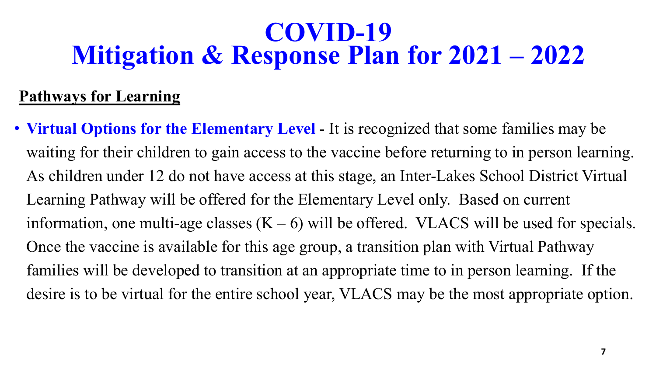### **Pathways for Learning**

• **Virtual Options for the Elementary Level** - It is recognized that some families may be waiting for their children to gain access to the vaccine before returning to in person learning. As children under 12 do not have access at this stage, an Inter-Lakes School District Virtual Learning Pathway will be offered for the Elementary Level only. Based on current information, one multi-age classes  $(K - 6)$  will be offered. VLACS will be used for specials. Once the vaccine is available for this age group, a transition plan with Virtual Pathway families will be developed to transition at an appropriate time to in person learning. If the desire is to be virtual for the entire school year, VLACS may be the most appropriate option.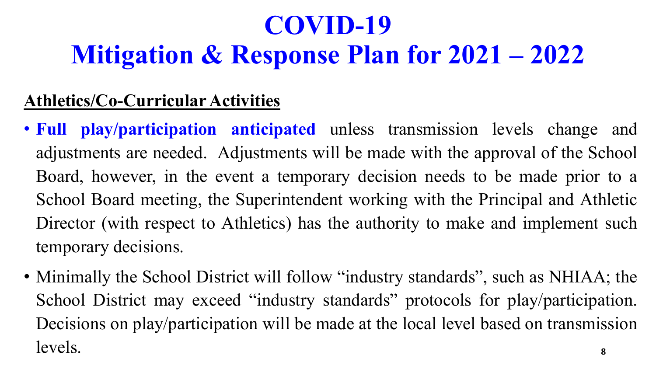### **Athletics/Co-Curricular Activities**

- **Full play/participation anticipated** unless transmission levels change and adjustments are needed. Adjustments will be made with the approval of the School Board, however, in the event a temporary decision needs to be made prior to a School Board meeting, the Superintendent working with the Principal and Athletic Director (with respect to Athletics) has the authority to make and implement such temporary decisions.
- Minimally the School District will follow "industry standards", such as NHIAA; the School District may exceed "industry standards" protocols for play/participation. Decisions on play/participation will be made at the local level based on transmission levels. **8**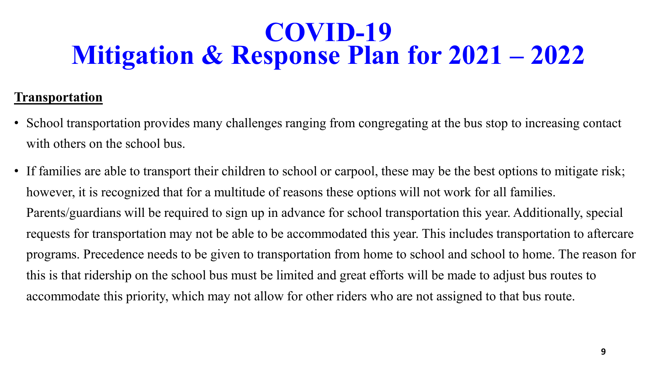### **Transportation**

- School transportation provides many challenges ranging from congregating at the bus stop to increasing contact with others on the school bus.
- If families are able to transport their children to school or carpool, these may be the best options to mitigate risk; however, it is recognized that for a multitude of reasons these options will not work for all families. Parents/guardians will be required to sign up in advance for school transportation this year. Additionally, special requests for transportation may not be able to be accommodated this year. This includes transportation to aftercare programs. Precedence needs to be given to transportation from home to school and school to home. The reason for this is that ridership on the school bus must be limited and great efforts will be made to adjust bus routes to accommodate this priority, which may not allow for other riders who are not assigned to that bus route.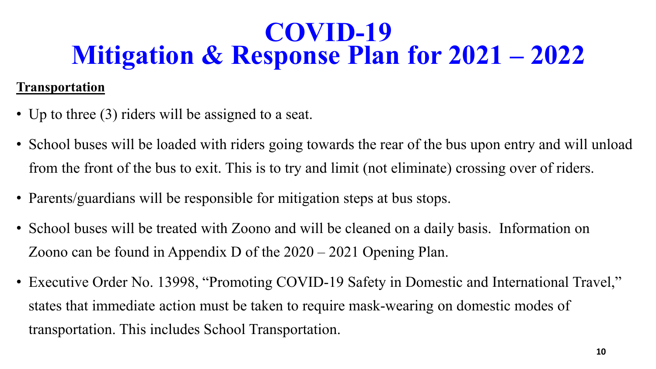### **Transportation**

- Up to three (3) riders will be assigned to a seat.
- School buses will be loaded with riders going towards the rear of the bus upon entry and will unload from the front of the bus to exit. This is to try and limit (not eliminate) crossing over of riders.
- Parents/guardians will be responsible for mitigation steps at bus stops.
- School buses will be treated with Zoono and will be cleaned on a daily basis. Information on Zoono can be found in Appendix D of the 2020 – 2021 Opening Plan.
- Executive Order No. 13998, "Promoting COVID-19 Safety in Domestic and International Travel," states that immediate action must be taken to require mask-wearing on domestic modes of transportation. This includes School Transportation.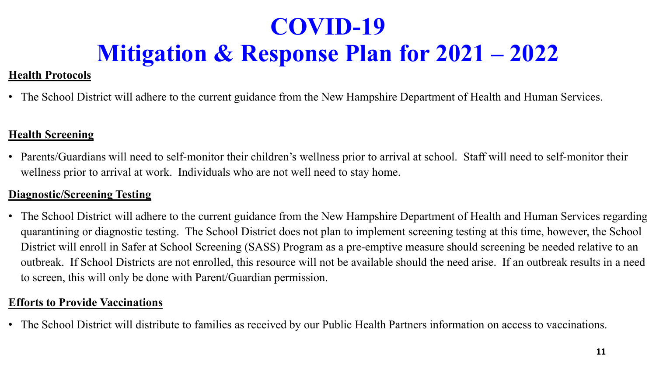### **Health Protocols**

• The School District will adhere to the current guidance from the New Hampshire Department of Health and Human Services.

#### **Health Screening**

• Parents/Guardians will need to self-monitor their children's wellness prior to arrival at school. Staff will need to self-monitor their wellness prior to arrival at work. Individuals who are not well need to stay home.

#### **Diagnostic/Screening Testing**

• The School District will adhere to the current guidance from the New Hampshire Department of Health and Human Services regarding quarantining or diagnostic testing. The School District does not plan to implement screening testing at this time, however, the School District will enroll in Safer at School Screening (SASS) Program as a pre-emptive measure should screening be needed relative to an outbreak. If School Districts are not enrolled, this resource will not be available should the need arise. If an outbreak results in a need to screen, this will only be done with Parent/Guardian permission.

#### **Efforts to Provide Vaccinations**

• The School District will distribute to families as received by our Public Health Partners information on access to vaccinations.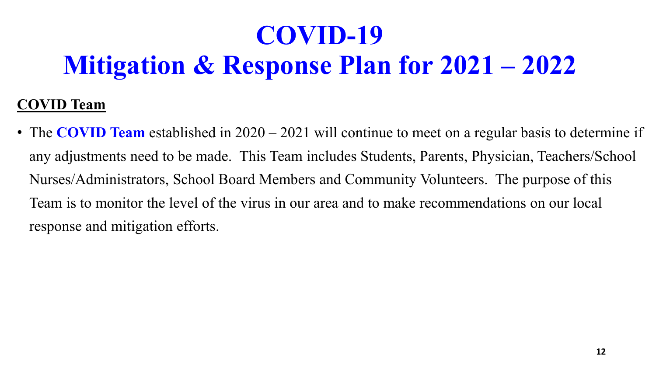### **COVID Team**

• The **COVID Team** established in 2020 – 2021 will continue to meet on a regular basis to determine if any adjustments need to be made. This Team includes Students, Parents, Physician, Teachers/School Nurses/Administrators, School Board Members and Community Volunteers. The purpose of this Team is to monitor the level of the virus in our area and to make recommendations on our local response and mitigation efforts.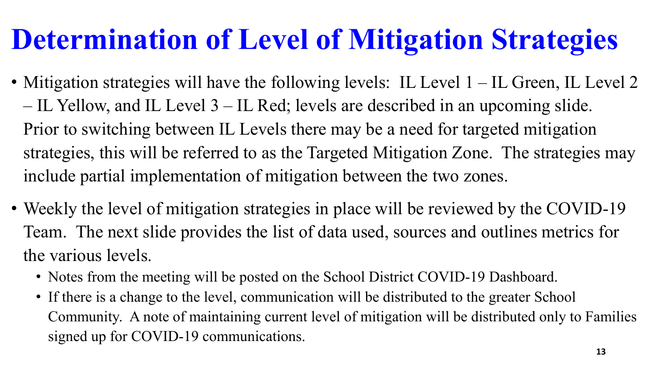# **Determination of Level of Mitigation Strategies**

- Mitigation strategies will have the following levels: IL Level  $1 IL$  Green, IL Level  $2$ – IL Yellow, and IL Level 3 – IL Red; levels are described in an upcoming slide. Prior to switching between IL Levels there may be a need for targeted mitigation strategies, this will be referred to as the Targeted Mitigation Zone. The strategies may include partial implementation of mitigation between the two zones.
- Weekly the level of mitigation strategies in place will be reviewed by the COVID-19 Team. The next slide provides the list of data used, sources and outlines metrics for the various levels.
	- Notes from the meeting will be posted on the School District COVID-19 Dashboard.
	- If there is a change to the level, communication will be distributed to the greater School Community. A note of maintaining current level of mitigation will be distributed only to Families signed up for COVID-19 communications.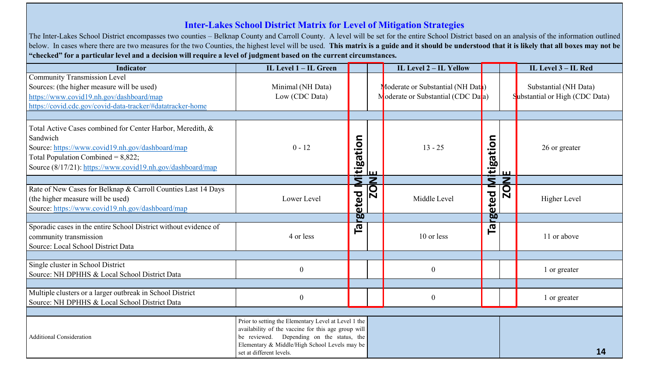#### **Inter-Lakes School District Matrix for Level of Mitigation Strategies**

The Inter-Lakes School District encompasses two counties – Belknap County and Carroll County. A level will be set for the entire School District based on an analysis of the information outlined below. In cases where there are two measures for the two Counties, the highest level will be used. This matrix is a guide and it should be understood that it is likely that all boxes may not be "checked" for a particular level and a decision will require a level of judgment based on the current circumstances.

| <b>Indicator</b>                                                                                                                                                                                                                  | IL Level 1 - IL Green                                                                                                                                                                                                                 |                              |                                   | IL Level 2 - IL Yellow                                                  |          |                                                    | IL Level 3 - IL Red                                     |
|-----------------------------------------------------------------------------------------------------------------------------------------------------------------------------------------------------------------------------------|---------------------------------------------------------------------------------------------------------------------------------------------------------------------------------------------------------------------------------------|------------------------------|-----------------------------------|-------------------------------------------------------------------------|----------|----------------------------------------------------|---------------------------------------------------------|
| Community Transmission Level<br>Sources: (the higher measure will be used)<br>https://www.covid19.nh.gov/dashboard/map<br>https://covid.cdc.gov/covid-data-tracker/#datatracker-home                                              | Minimal (NH Data)<br>Low (CDC Data)                                                                                                                                                                                                   |                              |                                   | Moderate or Substantial (NH Dath)<br>Moderate or Substantial (CDC Data) |          |                                                    | Substantial (NH Data)<br>Substantial or High (CDC Data) |
|                                                                                                                                                                                                                                   |                                                                                                                                                                                                                                       |                              |                                   |                                                                         |          |                                                    |                                                         |
| Total Active Cases combined for Center Harbor, Meredith, &<br>Sandwich<br>Source: https://www.covid19.nh.gov/dashboard/map<br>Total Population Combined = $8,822$ ;<br>Source (8/17/21): https://www.covid19.nh.gov/dashboard/map | $0 - 12$                                                                                                                                                                                                                              | tigation                     | lш                                | $13 - 25$                                                               | tigation | ш                                                  | 26 or greater                                           |
|                                                                                                                                                                                                                                   |                                                                                                                                                                                                                                       | Ξ                            | $\overline{\mathsf{z}}$           |                                                                         | Σ        | $\overline{z}$                                     |                                                         |
| Rate of New Cases for Belknap & Carroll Counties Last 14 Days<br>(the higher measure will be used)<br>Source: https://www.covid19.nh.gov/dashboard/map                                                                            | Lower Level                                                                                                                                                                                                                           | eted                         | $\overline{\overline{\text{SO}}}$ | Middle Level                                                            | eted     | $\overline{\mathbf{C}}$<br>$\overline{\mathsf{N}}$ | Higher Level                                            |
|                                                                                                                                                                                                                                   |                                                                                                                                                                                                                                       | $\overline{\mathbf{\omega}}$ |                                   |                                                                         | g,       |                                                    |                                                         |
| Sporadic cases in the entire School District without evidence of<br>community transmission<br>Source: Local School District Data                                                                                                  | 4 or less                                                                                                                                                                                                                             | 인<br>니                       |                                   | 10 or less                                                              | 向<br>口   |                                                    | 11 or above                                             |
|                                                                                                                                                                                                                                   |                                                                                                                                                                                                                                       |                              |                                   |                                                                         |          |                                                    |                                                         |
| Single cluster in School District<br>Source: NH DPHHS & Local School District Data                                                                                                                                                | $\boldsymbol{0}$                                                                                                                                                                                                                      |                              |                                   | $\boldsymbol{0}$                                                        |          |                                                    | 1 or greater                                            |
|                                                                                                                                                                                                                                   |                                                                                                                                                                                                                                       |                              |                                   |                                                                         |          |                                                    |                                                         |
| Multiple clusters or a larger outbreak in School District<br>Source: NH DPHHS & Local School District Data                                                                                                                        | $\boldsymbol{0}$                                                                                                                                                                                                                      |                              |                                   | $\boldsymbol{0}$                                                        |          |                                                    | 1 or greater                                            |
|                                                                                                                                                                                                                                   |                                                                                                                                                                                                                                       |                              |                                   |                                                                         |          |                                                    |                                                         |
| <b>Additional Consideration</b>                                                                                                                                                                                                   | Prior to setting the Elementary Level at Level 1 the<br>availability of the vaccine for this age group will<br>be reviewed. Depending on the status, the<br>Elementary & Middle/High School Levels may be<br>set at different levels. |                              |                                   |                                                                         |          |                                                    | 14                                                      |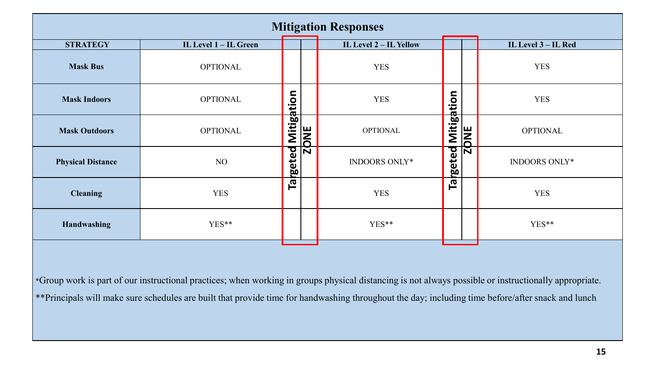| <b>Mitigation Responses</b> |                       |                    |                         |                        |                          |   |                     |  |  |  |  |
|-----------------------------|-----------------------|--------------------|-------------------------|------------------------|--------------------------|---|---------------------|--|--|--|--|
| <b>STRATEGY</b>             | IL Level 1 – IL Green |                    |                         | IL Level 2 - IL Yellow |                          |   | IL Level 3 – IL Red |  |  |  |  |
| <b>Mask Bus</b>             | <b>OPTIONAL</b>       |                    |                         | <b>YES</b>             |                          |   | <b>YES</b>          |  |  |  |  |
| <b>Mask Indoors</b>         | <b>OPTIONAL</b>       |                    |                         | <b>YES</b>             |                          |   | <b>YES</b>          |  |  |  |  |
| <b>Mask Outdoors</b>        | <b>OPTIONAL</b>       | <b>Mitigation</b>  | <b>JNC</b>              | <b>OPTIONAL</b>        | Mitigation<br><b>JNE</b> |   | <b>OPTIONAL</b>     |  |  |  |  |
| <b>Physical Distance</b>    | NO                    | <b>Igeted</b>      | $\overline{\mathsf{N}}$ | INDOORS ONLY*          | <b>rgeted</b>            | Ñ | INDOORS ONLY*       |  |  |  |  |
| <b>Cleaning</b>             | <b>YES</b>            | $\bar{\mathbf{e}}$ |                         | <b>YES</b>             | $\bar{\mathbf{e}}$       |   | <b>YES</b>          |  |  |  |  |
| Handwashing                 | YES**                 |                    |                         | YES**                  |                          |   | YES**               |  |  |  |  |
|                             |                       |                    |                         |                        |                          |   |                     |  |  |  |  |

\*Group work is part of our instructional practices; when working in groups physical distancing is not always possible or instructionally appropriate. \*\*Principals will make sure schedules are built that provide time for handwashing throughout the day; including time before/after snack and lunch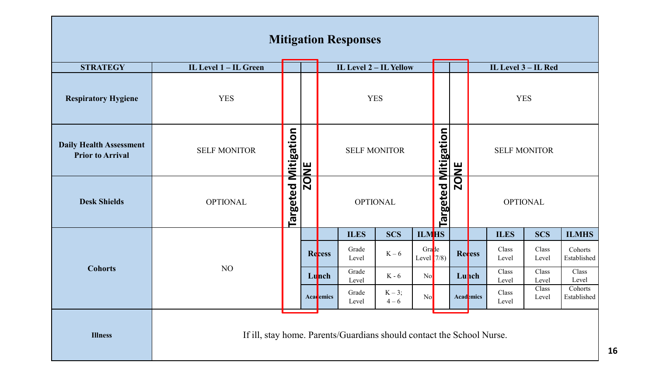|                                                           |                                                                       |                     |             |                        | <b>Mitigation Responses</b> |                   |                            |             |                 |                              |                |                |                        |
|-----------------------------------------------------------|-----------------------------------------------------------------------|---------------------|-------------|------------------------|-----------------------------|-------------------|----------------------------|-------------|-----------------|------------------------------|----------------|----------------|------------------------|
| <b>STRATEGY</b>                                           | IL Level 1 - IL Green                                                 |                     |             | IL Level 2 - IL Yellow |                             |                   |                            |             |                 | IL Level 3 - IL Red          |                |                |                        |
| <b>Respiratory Hygiene</b>                                | <b>YES</b>                                                            |                     |             |                        | <b>YES</b>                  |                   |                            |             |                 |                              | <b>YES</b>     |                |                        |
| <b>Daily Health Assessment</b><br><b>Prior to Arrival</b> | <b>SELF MONITOR</b>                                                   |                     |             |                        | <b>SELF MONITOR</b>         |                   |                            |             |                 | <b>SELF MONITOR</b>          |                |                |                        |
| <b>Desk Shields</b>                                       | <b>OPTIONAL</b>                                                       | Targeted Mitigation | <b>ZONE</b> | <b>OPTIONAL</b>        |                             |                   | <b>Targeted Mitigation</b> | <b>ZONE</b> | <b>OPTIONAL</b> |                              |                |                |                        |
|                                                           |                                                                       |                     |             |                        | <b>ILES</b>                 | <b>SCS</b>        | <b>ILMHS</b>               |             |                 |                              | <b>ILES</b>    | <b>SCS</b>     | <b>ILMHS</b>           |
|                                                           |                                                                       |                     |             | Recess                 | Grade<br>Level              | $K-6$             | Grade<br>Level $(7/8)$     |             |                 | Recess                       | Class<br>Level | Class<br>Level | Cohorts<br>Established |
| <b>Cohorts</b>                                            | NO                                                                    |                     |             | Lunch                  | Grade<br>Level              | $K - 6$           | No                         |             |                 | Lunch                        | Class<br>Level | Class<br>Level | Class<br>Level         |
|                                                           |                                                                       |                     |             | Academics              | Grade<br>Level              | $K-3;$<br>$4 - 6$ | No                         |             |                 | <b>Acad</b> <sub>emics</sub> | Class<br>Level | Class<br>Level | Cohorts<br>Established |
| <b>Illness</b>                                            | If ill, stay home. Parents/Guardians should contact the School Nurse. |                     |             |                        |                             |                   |                            |             |                 |                              |                |                |                        |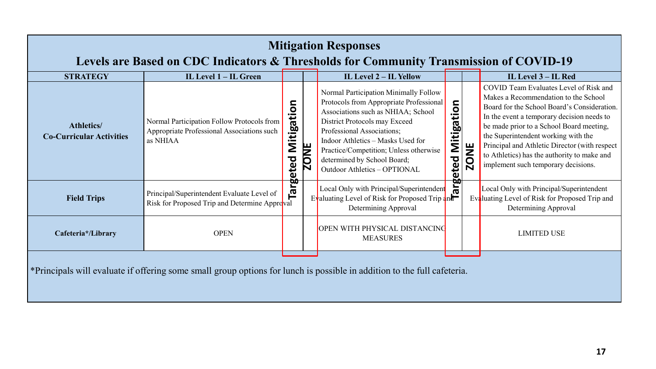| <b>Mitigation Responses</b><br>Levels are Based on CDC Indicators & Thresholds for Community Transmission of COVID-19   |                                                                                                      |                    |             |                                                                                                                                                                                                                                                                                                                                     |                                   |             |                                                                                                                                                                                                                                                                                                                                                                                                       |  |  |  |  |
|-------------------------------------------------------------------------------------------------------------------------|------------------------------------------------------------------------------------------------------|--------------------|-------------|-------------------------------------------------------------------------------------------------------------------------------------------------------------------------------------------------------------------------------------------------------------------------------------------------------------------------------------|-----------------------------------|-------------|-------------------------------------------------------------------------------------------------------------------------------------------------------------------------------------------------------------------------------------------------------------------------------------------------------------------------------------------------------------------------------------------------------|--|--|--|--|
| <b>STRATEGY</b>                                                                                                         | IL Level 1 - IL Green                                                                                |                    |             | IL Level 2 - IL Yellow                                                                                                                                                                                                                                                                                                              |                                   |             | IL Level 3 - IL Red                                                                                                                                                                                                                                                                                                                                                                                   |  |  |  |  |
| <b>Athletics/</b><br><b>Co-Curricular Activities</b>                                                                    | Normal Participation Follow Protocols from<br>Appropriate Professional Associations such<br>as NHIAA | Mitigation<br>eted | <b>ZONE</b> | Normal Participation Minimally Follow<br>Protocols from Appropriate Professional<br>Associations such as NHIAA; School<br>District Protocols may Exceed<br>Professional Associations;<br>Indoor Athletics - Masks Used for<br>Practice/Competition; Unless otherwise<br>determined by School Board;<br>Outdoor Athletics - OPTIONAL | Mitigation<br>ठ<br><b>argeteo</b> | <b>ZONE</b> | COVID Team Evaluates Level of Risk and<br>Makes a Recommendation to the School<br>Board for the School Board's Consideration.<br>In the event a temporary decision needs to<br>be made prior to a School Board meeting,<br>the Superintendent working with the<br>Principal and Athletic Director (with respect<br>to Athletics) has the authority to make and<br>implement such temporary decisions. |  |  |  |  |
| <b>Field Trips</b>                                                                                                      | Principal/Superintendent Evaluate Level of<br>Risk for Proposed Trip and Determine Approval          | Targ               |             | Local Only with Principal/Superintenden<br>Evaluating Level of Risk for Proposed Trip and<br>Determining Approval                                                                                                                                                                                                                   |                                   |             | Local Only with Principal/Superintendent<br>Evaluating Level of Risk for Proposed Trip and<br>Determining Approval                                                                                                                                                                                                                                                                                    |  |  |  |  |
| Cafeteria*/Library                                                                                                      | <b>OPEN</b>                                                                                          |                    |             | OPEN WITH PHYSICAL DISTANCING<br><b>MEASURES</b>                                                                                                                                                                                                                                                                                    |                                   |             | <b>LIMITED USE</b>                                                                                                                                                                                                                                                                                                                                                                                    |  |  |  |  |
| *Principals will evaluate if offering some small group options for lunch is possible in addition to the full cafeteria. |                                                                                                      |                    |             |                                                                                                                                                                                                                                                                                                                                     |                                   |             |                                                                                                                                                                                                                                                                                                                                                                                                       |  |  |  |  |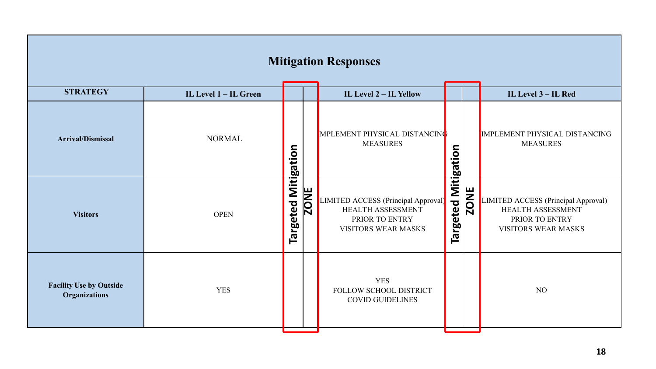| <b>Mitigation Responses</b>                            |                       |                     |             |                                                                                                          |                            |             |                                                                                                          |  |  |  |
|--------------------------------------------------------|-----------------------|---------------------|-------------|----------------------------------------------------------------------------------------------------------|----------------------------|-------------|----------------------------------------------------------------------------------------------------------|--|--|--|
| <b>STRATEGY</b>                                        | IL Level 1 - IL Green |                     |             | IL Level 2 - IL Yellow                                                                                   |                            |             | IL Level 3 – IL Red                                                                                      |  |  |  |
| <b>Arrival/Dismissal</b>                               | <b>NORMAL</b>         |                     |             | <b>IMPLEMENT PHYSICAL DISTANCING</b><br><b>MEASURES</b>                                                  |                            |             | IMPLEMENT PHYSICAL DISTANCING<br><b>MEASURES</b>                                                         |  |  |  |
| <b>Visitors</b>                                        | <b>OPEN</b>           | Targeted Mitigation | <b>ZONE</b> | LIMITED ACCESS (Principal Approval)<br>HEALTH ASSESSMENT<br>PRIOR TO ENTRY<br><b>VISITORS WEAR MASKS</b> | <b>Targeted Mitigation</b> | <b>ZONE</b> | LIMITED ACCESS (Principal Approval)<br>HEALTH ASSESSMENT<br>PRIOR TO ENTRY<br><b>VISITORS WEAR MASKS</b> |  |  |  |
| <b>Facility Use by Outside</b><br><b>Organizations</b> | <b>YES</b>            |                     |             | <b>YES</b><br>FOLLOW SCHOOL DISTRICT<br><b>COVID GUIDELINES</b>                                          |                            |             | NO                                                                                                       |  |  |  |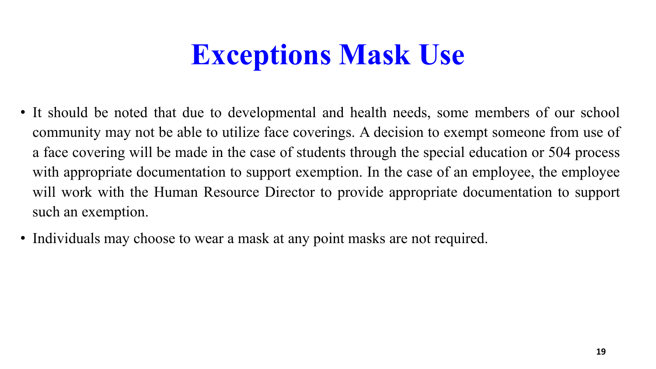# **Exceptions Mask Use**

- It should be noted that due to developmental and health needs, some members of our school community may not be able to utilize face coverings. A decision to exempt someone from use of a face covering will be made in the case of students through the special education or 504 process with appropriate documentation to support exemption. In the case of an employee, the employee will work with the Human Resource Director to provide appropriate documentation to support such an exemption.
- Individuals may choose to wear a mask at any point masks are not required.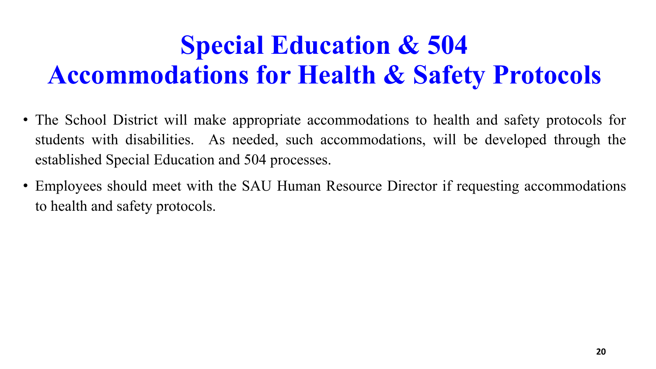# **Special Education & 504 Accommodations for Health & Safety Protocols**

- The School District will make appropriate accommodations to health and safety protocols for students with disabilities. As needed, such accommodations, will be developed through the established Special Education and 504 processes.
- Employees should meet with the SAU Human Resource Director if requesting accommodations to health and safety protocols.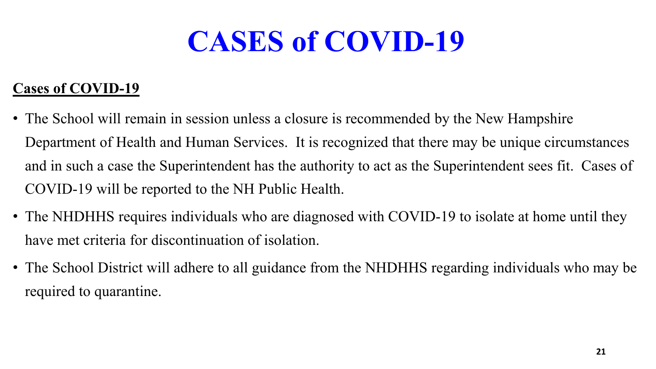# **CASES of COVID-19**

### **Cases of COVID-19**

- The School will remain in session unless a closure is recommended by the New Hampshire Department of Health and Human Services. It is recognized that there may be unique circumstances and in such a case the Superintendent has the authority to act as the Superintendent sees fit. Cases of COVID-19 will be reported to the NH Public Health.
- The NHDHHS requires individuals who are diagnosed with COVID-19 to isolate at home until they have met criteria for discontinuation of isolation.
- The School District will adhere to all guidance from the NHDHHS regarding individuals who may be required to quarantine.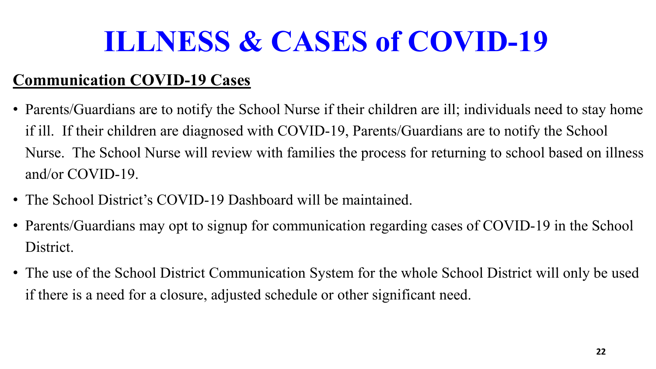# **ILLNESS & CASES of COVID-19**

### **Communication COVID-19 Cases**

- Parents/Guardians are to notify the School Nurse if their children are ill; individuals need to stay home if ill. If their children are diagnosed with COVID-19, Parents/Guardians are to notify the School Nurse. The School Nurse will review with families the process for returning to school based on illness and/or COVID-19.
- The School District's COVID-19 Dashboard will be maintained.
- Parents/Guardians may opt to signup for communication regarding cases of COVID-19 in the School District.
- The use of the School District Communication System for the whole School District will only be used if there is a need for a closure, adjusted schedule or other significant need.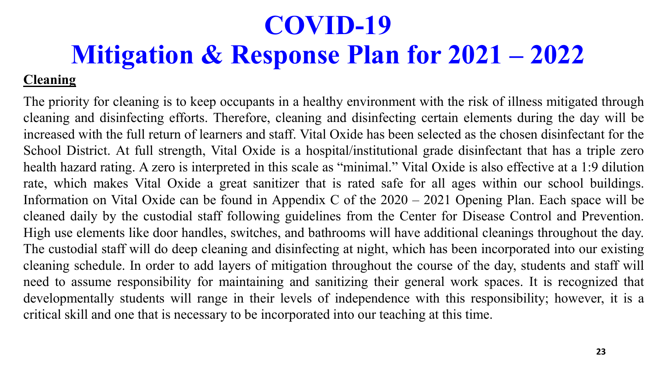The priority for cleaning is to keep occupants in a healthy environment with the risk of illness mitigated through cleaning and disinfecting efforts. Therefore, cleaning and disinfecting certain elements during the day will be increased with the full return of learners and staff. Vital Oxide has been selected as the chosen disinfectant for the School District. At full strength, Vital Oxide is a hospital/institutional grade disinfectant that has a triple zero health hazard rating. A zero is interpreted in this scale as "minimal." Vital Oxide is also effective at a 1:9 dilution rate, which makes Vital Oxide a great sanitizer that is rated safe for all ages within our school buildings. Information on Vital Oxide can be found in Appendix C of the 2020 – 2021 Opening Plan. Each space will be cleaned daily by the custodial staff following guidelines from the Center for Disease Control and Prevention. High use elements like door handles, switches, and bathrooms will have additional cleanings throughout the day. The custodial staff will do deep cleaning and disinfecting at night, which has been incorporated into our existing cleaning schedule. In order to add layers of mitigation throughout the course of the day, students and staff will need to assume responsibility for maintaining and sanitizing their general work spaces. It is recognized that developmentally students will range in their levels of independence with this responsibility; however, it is a critical skill and one that is necessary to be incorporated into our teaching at this time.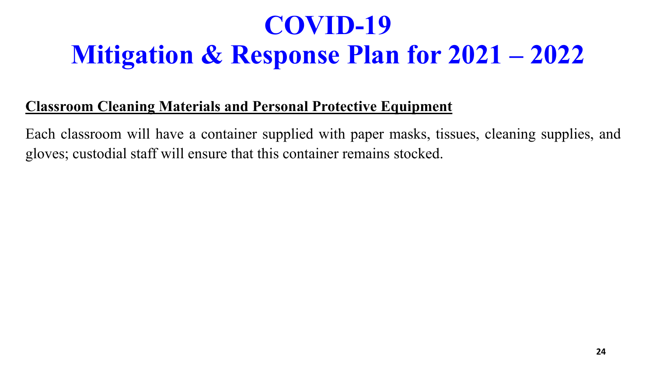### **Classroom Cleaning Materials and Personal Protective Equipment**

Each classroom will have a container supplied with paper masks, tissues, cleaning supplies, and gloves; custodial staff will ensure that this container remains stocked.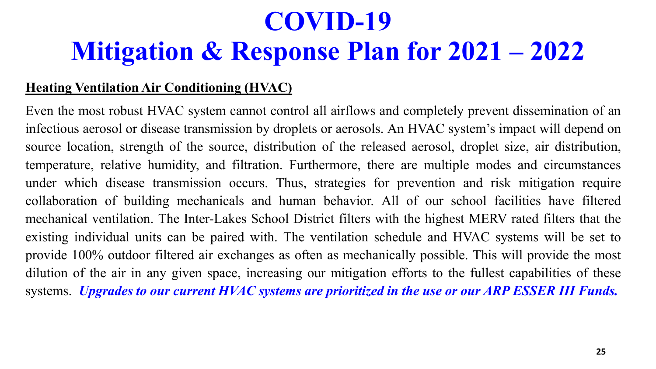### **Heating Ventilation Air Conditioning (HVAC)**

Even the most robust HVAC system cannot control all airflows and completely prevent dissemination of an infectious aerosol or disease transmission by droplets or aerosols. An HVAC system's impact will depend on source location, strength of the source, distribution of the released aerosol, droplet size, air distribution, temperature, relative humidity, and filtration. Furthermore, there are multiple modes and circumstances under which disease transmission occurs. Thus, strategies for prevention and risk mitigation require collaboration of building mechanicals and human behavior. All of our school facilities have filtered mechanical ventilation. The Inter-Lakes School District filters with the highest MERV rated filters that the existing individual units can be paired with. The ventilation schedule and HVAC systems will be set to provide 100% outdoor filtered air exchanges as often as mechanically possible. This will provide the most dilution of the air in any given space, increasing our mitigation efforts to the fullest capabilities of these systems. *Upgrades to our current HVAC systems are prioritized in the use or our ARP ESSER III Funds.*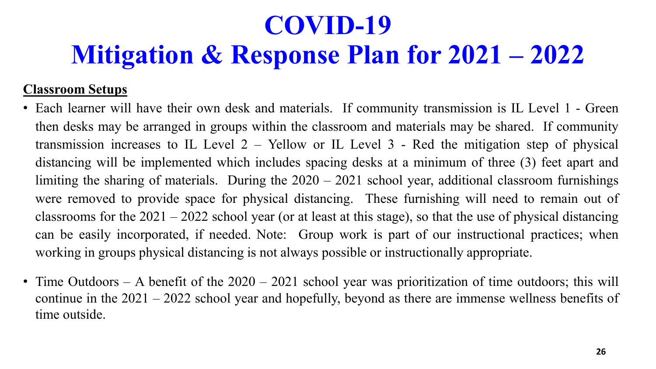### **Classroom Setups**

- Each learner will have their own desk and materials. If community transmission is IL Level 1 Green then desks may be arranged in groups within the classroom and materials may be shared. If community transmission increases to IL Level 2 – Yellow or IL Level 3 - Red the mitigation step of physical distancing will be implemented which includes spacing desks at a minimum of three (3) feet apart and limiting the sharing of materials. During the 2020 – 2021 school year, additional classroom furnishings were removed to provide space for physical distancing. These furnishing will need to remain out of classrooms for the 2021 – 2022 school year (or at least at this stage), so that the use of physical distancing can be easily incorporated, if needed. Note: Group work is part of our instructional practices; when working in groups physical distancing is not always possible or instructionally appropriate.
- Time Outdoors A benefit of the  $2020 2021$  school year was prioritization of time outdoors; this will continue in the 2021 – 2022 school year and hopefully, beyond as there are immense wellness benefits of time outside.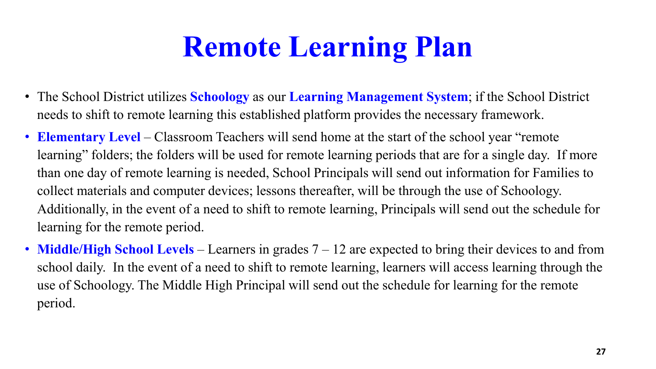# **Remote Learning Plan**

- The School District utilizes **Schoology** as our **Learning Management System**; if the School District needs to shift to remote learning this established platform provides the necessary framework.
- **Elementary Level** Classroom Teachers will send home at the start of the school year "remote" learning" folders; the folders will be used for remote learning periods that are for a single day. If more than one day of remote learning is needed, School Principals will send out information for Families to collect materials and computer devices; lessons thereafter, will be through the use of Schoology. Additionally, in the event of a need to shift to remote learning, Principals will send out the schedule for learning for the remote period.
- **Middle/High School Levels** Learners in grades 7 12 are expected to bring their devices to and from school daily. In the event of a need to shift to remote learning, learners will access learning through the use of Schoology. The Middle High Principal will send out the schedule for learning for the remote period.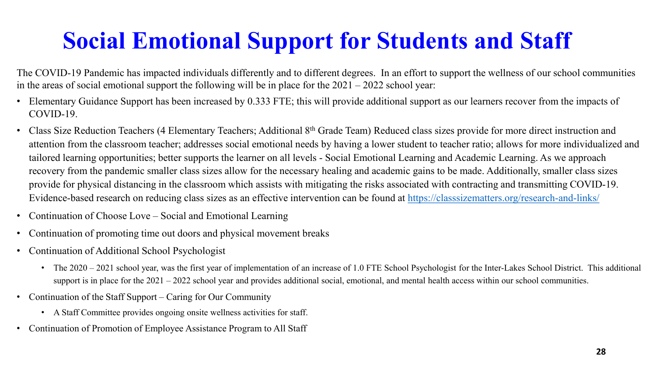## **Social Emotional Support for Students and Staff**

The COVID-19 Pandemic has impacted individuals differently and to different degrees. In an effort to support the wellness of our school communities in the areas of social emotional support the following will be in place for the  $2021 - 2022$  school year:

- Elementary Guidance Support has been increased by 0.333 FTE; this will provide additional support as our learners recover from the impacts of COVID-19.
- Class Size Reduction Teachers (4 Elementary Teachers; Additional 8<sup>th</sup> Grade Team) Reduced class sizes provide for more direct instruction and attention from the classroom teacher; addresses social emotional needs by having a lower student to teacher ratio; allows for more individualized and tailored learning opportunities; better supports the learner on all levels - Social Emotional Learning and Academic Learning. As we approach recovery from the pandemic smaller class sizes allow for the necessary healing and academic gains to be made. Additionally, smaller class sizes provide for physical distancing in the classroom which assists with mitigating the risks associated with contracting and transmitting COVID-19. Evidence-based research on reducing class sizes as an effective intervention can be found at <https://classsizematters.org/research-and-links/>
- Continuation of Choose Love Social and Emotional Learning
- Continuation of promoting time out doors and physical movement breaks
- Continuation of Additional School Psychologist
	- The  $2020 2021$  school year, was the first year of implementation of an increase of 1.0 FTE School Psychologist for the Inter-Lakes School District. This additional support is in place for the  $2021 - 2022$  school year and provides additional social, emotional, and mental health access within our school communities.
- Continuation of the Staff Support Caring for Our Community
	- A Staff Committee provides ongoing onsite wellness activities for staff.
- Continuation of Promotion of Employee Assistance Program to All Staff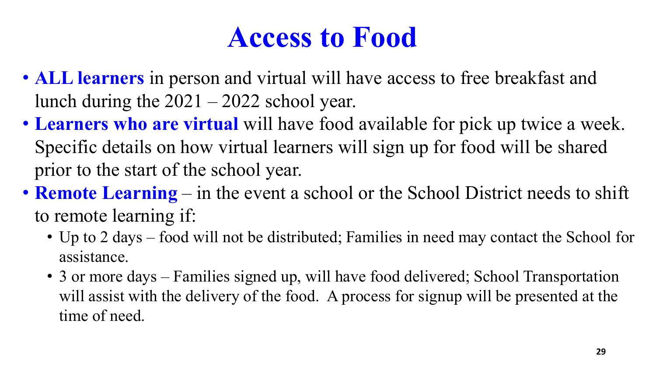# **Access to Food**

- **ALL learners** in person and virtual will have access to free breakfast and lunch during the 2021 – 2022 school year.
- **Learners who are virtual** will have food available for pick up twice a week. Specific details on how virtual learners will sign up for food will be shared prior to the start of the school year.
- **Remote Learning** in the event a school or the School District needs to shift to remote learning if:
	- Up to 2 days food will not be distributed; Families in need may contact the School for assistance.
	- 3 or more days Families signed up, will have food delivered; School Transportation will assist with the delivery of the food. A process for signup will be presented at the time of need.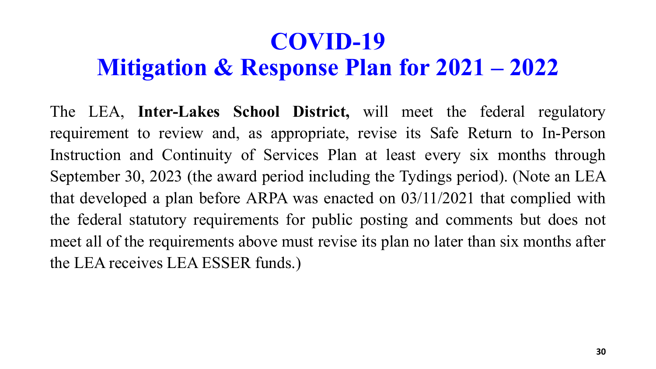The LEA, **Inter-Lakes School District,** will meet the federal regulatory requirement to review and, as appropriate, revise its Safe Return to In-Person Instruction and Continuity of Services Plan at least every six months through September 30, 2023 (the award period including the Tydings period). (Note an LEA that developed a plan before ARPA was enacted on 03/11/2021 that complied with the federal statutory requirements for public posting and comments but does not meet all of the requirements above must revise its plan no later than six months after the LEA receives LEA ESSER funds.)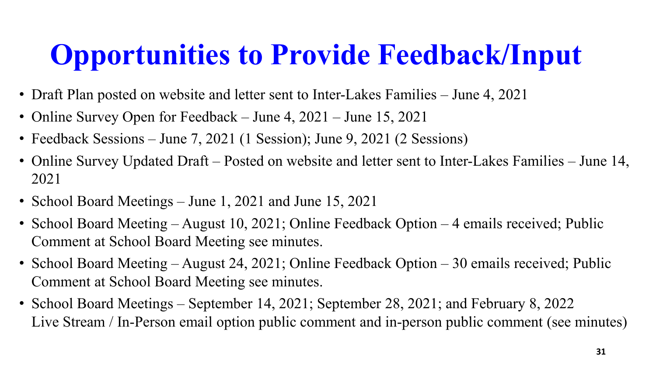# **Opportunities to Provide Feedback/Input**

- Draft Plan posted on website and letter sent to Inter-Lakes Families June 4, 2021
- Online Survey Open for Feedback June 4, 2021 June 15, 2021
- Feedback Sessions June 7, 2021 (1 Session); June 9, 2021 (2 Sessions)
- Online Survey Updated Draft Posted on website and letter sent to Inter-Lakes Families June 14, 2021
- School Board Meetings June 1, 2021 and June 15, 2021
- School Board Meeting August 10, 2021; Online Feedback Option 4 emails received; Public Comment at School Board Meeting see minutes.
- School Board Meeting August 24, 2021; Online Feedback Option 30 emails received; Public Comment at School Board Meeting see minutes.
- School Board Meetings September 14, 2021; September 28, 2021; and February 8, 2022 Live Stream / In-Person email option public comment and in-person public comment (see minutes)